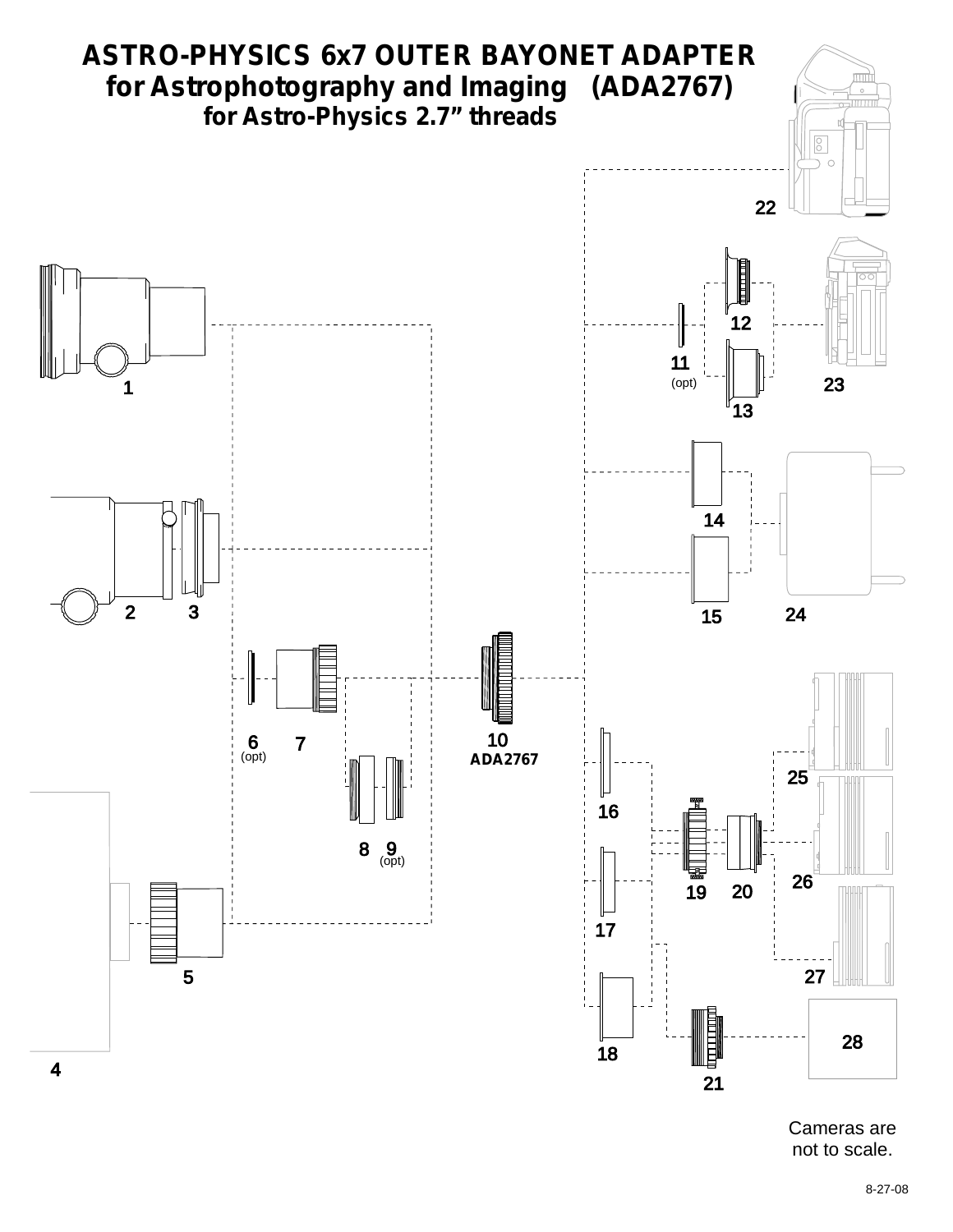

Cameras are not to scale.